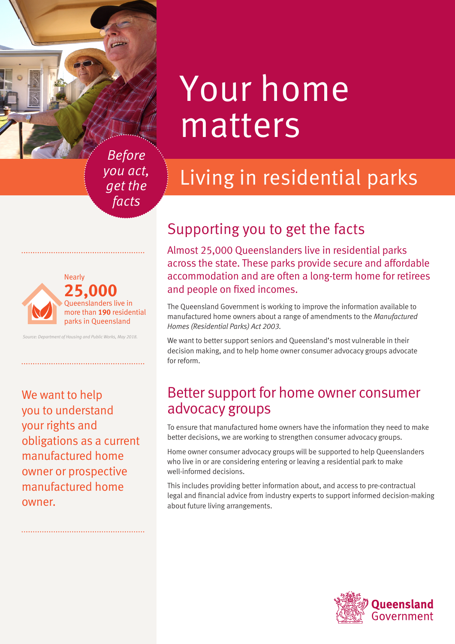# Your home matters

*Before you act, get the facts*

#### **25,000**  Queenslanders live in more than **190** residential parks in Queensland Nearly

*Source: Department of Housing and Public Works, May 2018.*

We want to help you to understand your rights and obligations as a current manufactured home owner or prospective manufactured home owner.

# Supporting you to get the facts

Almost 25,000 Queenslanders live in residential parks across the state. These parks provide secure and affordable accommodation and are often a long-term home for retirees and people on fixed incomes.

Living in residential parks

The Queensland Government is working to improve the information available to manufactured home owners about a range of amendments to the *Manufactured Homes (Residential Parks) Act 2003.* 

We want to better support seniors and Queensland's most vulnerable in their decision making, and to help home owner consumer advocacy groups advocate for reform.

### Better support for home owner consumer advocacy groups

To ensure that manufactured home owners have the information they need to make better decisions, we are working to strengthen consumer advocacy groups.

Home owner consumer advocacy groups will be supported to help Queenslanders who live in or are considering entering or leaving a residential park to make well-informed decisions.

This includes providing better information about, and access to pre-contractual legal and financial advice from industry experts to support informed decision-making about future living arrangements.